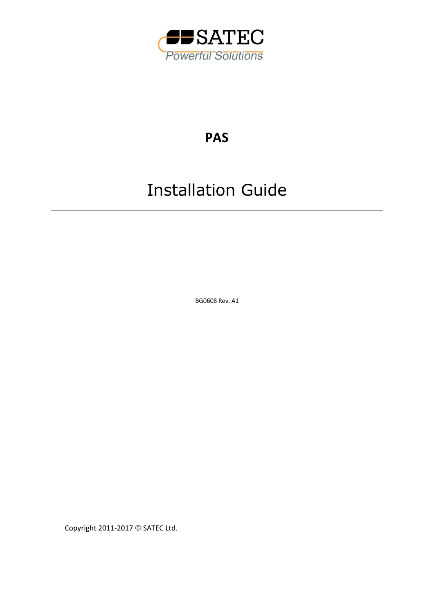

## **PAS**

# Installation Guide

BG0608 Rev. A1

Copyright 2011-2017 © SATEC Ltd.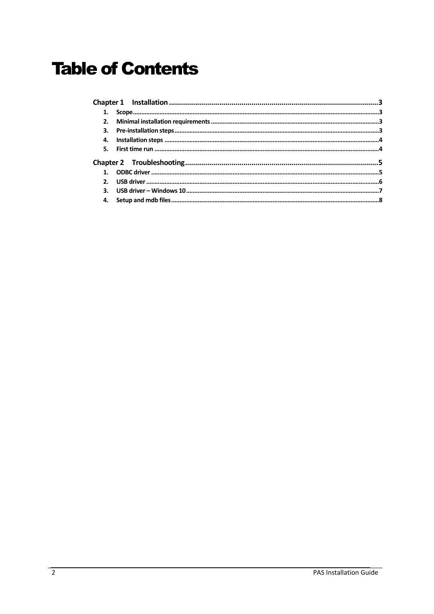## **Table of Contents**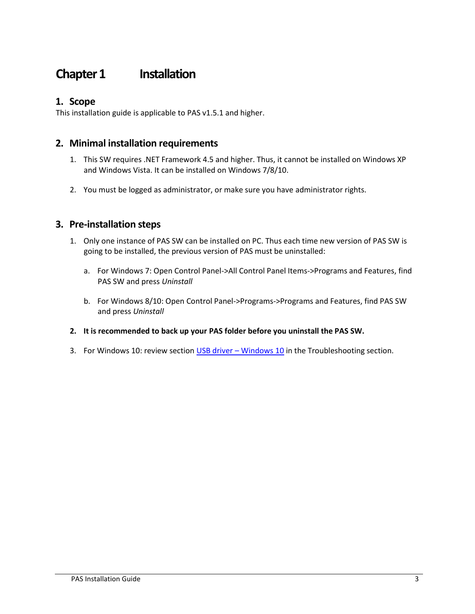### **Chapter 1** Installation

#### <span id="page-2-0"></span>**1. Scope**

This installation guide is applicable to PAS v1.5.1 and higher.

#### <span id="page-2-1"></span>**2. Minimal installation requirements**

- <span id="page-2-2"></span>1. This SW requires .NET Framework 4.5 and higher. Thus, it cannot be installed on Windows XP and Windows Vista. It can be installed on Windows 7/8/10.
- 2. You must be logged as administrator, or make sure you have administrator rights.

#### **3. Pre-installation steps**

- <span id="page-2-3"></span>1. Only one instance of PAS SW can be installed on PC. Thus each time new version of PAS SW is going to be installed, the previous version of PAS must be uninstalled:
	- a. For Windows 7: Open Control Panel->All Control Panel Items->Programs and Features, find PAS SW and press *Uninstall*
	- b. For Windows 8/10: Open Control Panel->Programs->Programs and Features, find PAS SW and press *Uninstall*
- **2. It is recommended to back up your PAS folder before you uninstall the PAS SW.**
- 3. For [Windows 10](#page-5-1): review section USB driver Windows 10 in the Troubleshooting section.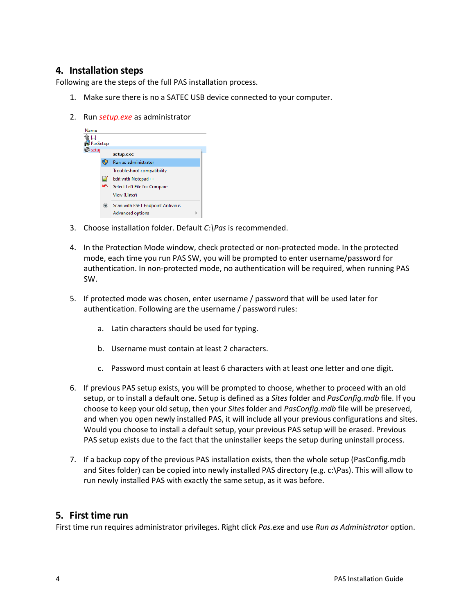#### **4. Installation steps**

Following are the steps of the full PAS installation process.

- <span id="page-3-0"></span>1. Make sure there is no a SATEC USB device connected to your computer.
- 2. Run *setup.exe* as administrator



- 3. Choose installation folder. Default *C:\Pas* is recommended.
- 4. In the Protection Mode window, check protected or non-protected mode. In the protected mode, each time you run PAS SW, you will be prompted to enter username/password for authentication. In non-protected mode, no authentication will be required, when running PAS SW.
- 5. If protected mode was chosen, enter username / password that will be used later for authentication. Following are the username / password rules:
	- a. Latin characters should be used for typing.
	- b. Username must contain at least 2 characters.
	- c. Password must contain at least 6 characters with at least one letter and one digit.
- 6. If previous PAS setup exists, you will be prompted to choose, whether to proceed with an old setup, or to install a default one. Setup is defined as a *Sites* folder and *PasConfig.mdb* file. If you choose to keep your old setup, then your *Sites* folder and *PasConfig.mdb* file will be preserved, and when you open newly installed PAS, it will include all your previous configurations and sites. Would you choose to install a default setup, your previous PAS setup will be erased. Previous PAS setup exists due to the fact that the uninstaller keeps the setup during uninstall process.
- 7. If a backup copy of the previous PAS installation exists, then the whole setup (PasConfig.mdb and Sites folder) can be copied into newly installed PAS directory (e.g. c:\Pas). This will allow to run newly installed PAS with exactly the same setup, as it was before.

#### **5. First time run**

<span id="page-3-1"></span>First time run requires administrator privileges. Right click *Pas.exe* and use *Run as Administrator* option.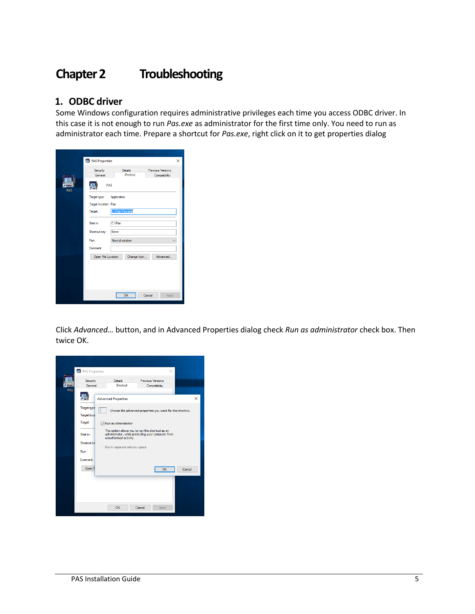## **Chapter 2 Troubleshooting**

#### <span id="page-4-0"></span>**1. ODBC driver**

<span id="page-4-1"></span>Some Windows configuration requires administrative privileges each time you access ODBC driver. In this case it is not enough to run *Pas.exe* as administrator for the first time only. You need to run as administrator each time. Prepare a shortcut for *Pas.exe*, right click on it to get properties dialog

|            | Security                  | <b>Details</b> |             | Previous Versions |  |
|------------|---------------------------|----------------|-------------|-------------------|--|
|            | General                   | Shortcut       |             | Compatibility     |  |
| <b>PAS</b> |                           | PAS            |             |                   |  |
|            | Target type:              | Application    |             |                   |  |
|            | Target location: Pas      |                |             |                   |  |
|            | C:\Pas\Pas.exe<br>Target: |                |             |                   |  |
|            | Start in:                 | C:\Pas         |             |                   |  |
|            | Shortcut key:             | None           |             |                   |  |
|            |                           |                |             |                   |  |
|            | Run:<br>Normal window     |                |             |                   |  |
|            | Comment:                  |                |             |                   |  |
|            | Open File Location        |                | Change Icon | Advanced          |  |
|            |                           |                |             |                   |  |
|            |                           |                |             |                   |  |
|            |                           |                |             |                   |  |
|            |                           |                |             |                   |  |

Click *Advanced…* button, and in Advanced Properties dialog check *Run as administrator* check box. Then twice OK.

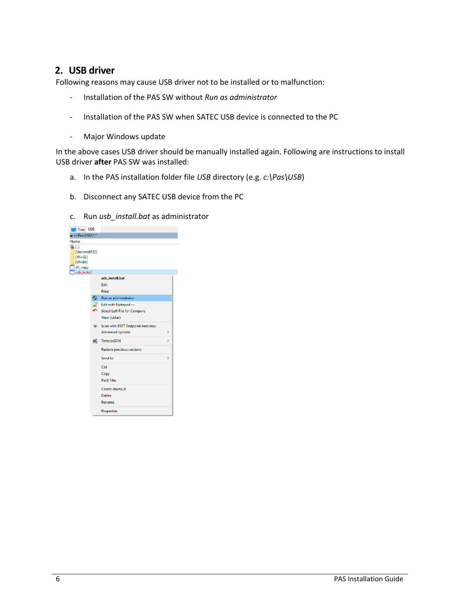#### **2. USB driver**

Following reasons may cause USB driver not to be installed or to malfunction:

- <span id="page-5-0"></span>- Installation of the PAS SW without *Run as administrator*
- Installation of the PAS SW when SATEC USB device is connected to the PC
- Major Windows update

In the above cases USB driver should be manually installed again. Following are instructions to install USB driver **after** PAS SW was installed:

- a. In the PAS installation folder file *USB* directory (e.g. *c:\Pas\USB*)
- b. Disconnect any SATEC USB device from the PC
- c. Run *usb\_install.bat* as administrator

<span id="page-5-1"></span>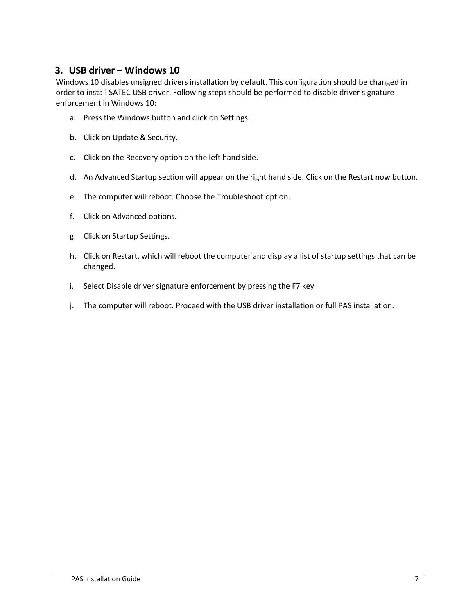#### **3. USB driver – Windows 10**

<span id="page-6-0"></span>Windows 10 disables unsigned drivers installation by default. This configuration should be changed in order to install SATEC USB driver. Following steps should be performed to disable driver signature enforcement in Windows 10:

- a. Press the Windows button and click on Settings.
- b. Click on Update & Security.
- c. Click on the Recovery option on the left hand side.
- d. An Advanced Startup section will appear on the right hand side. Click on the Restart now button.
- e. The computer will reboot. Choose the Troubleshoot option.
- f. Click on Advanced options.
- g. Click on Startup Settings.
- h. Click on Restart, which will reboot the computer and display a list of startup settings that can be changed.
- i. Select Disable driver signature enforcement by pressing the F7 key
- j. The computer will reboot. Proceed with the USB driver installation or full PAS installation.